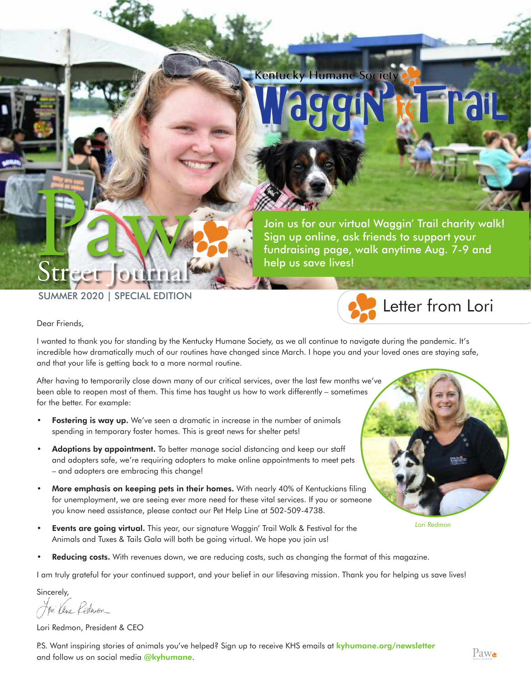**Kentucky Humane Society** 

**Start at** 

Join us for our virtual Waggin' Trail charity walk! Sign up online, ask friends to support your fundraising page, walk anytime Aug. 7-9 and help us save lives!

SUMMER 2020 | SPECIAL EDITION

**Street Journal** 

Dear Friends,

Street

I wanted to thank you for standing by the Kentucky Humane Society, as we all continue to navigate during the pandemic. It's incredible how dramatically much of our routines have changed since March. I hope you and your loved ones are staying safe, and that your life is getting back to a more normal routine.

After having to temporarily close down many of our critical services, over the last few months we've been able to reopen most of them. This time has taught us how to work differently – sometimes for the better. For example:

- Fostering is way up. We've seen a dramatic in increase in the number of animals spending in temporary foster homes. This is great news for shelter pets!
- Adoptions by appointment. To better manage social distancing and keep our staff and adopters safe, we're requiring adopters to make online appointments to meet pets – and adopters are embracing this change!
- More emphasis on keeping pets in their homes. With nearly 40% of Kentuckians filing for unemployment, we are seeing ever more need for these vital services. If you or someone you know need assistance, please contact our Pet Help Line at 502-509-4738.
- Events are going virtual. This year, our signature Waggin' Trail Walk & Festival for the Animals and Tuxes & Tails Gala will both be going virtual. We hope you join us!
- Reducing costs. With revenues down, we are reducing costs, such as changing the format of this magazine.

I am truly grateful for your continued support, and your belief in our lifesaving mission. Thank you for helping us save lives!

Sincerely,

for Vene Redmon

Lori Redmon, President & CEO

P.S. Want inspiring stories of animals you've helped? Sign up to receive KHS emails at **kyhumane.org/newsletter** and follow us on social media @kyhumane.



Letter from Lori

*Lori Redmon*

 $Paw_{\bullet}$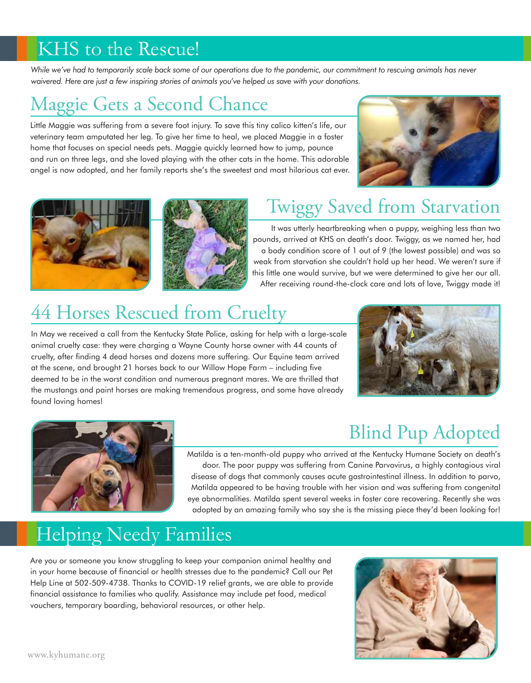#### KHS to the Rescue!

*While we've had to temporarily scale back some of our operations due to the pandemic, our commitment to rescuing animals has never waivered. Here are just a few inspiring stories of animals you've helped us save with your donations.*

## Maggie Gets a Second Chance

Little Maggie was suffering from a severe foot injury. To save this tiny calico kitten's life, our veterinary team amputated her leg. To give her time to heal, we placed Maggie in a foster home that focuses on special needs pets. Maggie quickly learned how to jump, pounce and run on three legs, and she loved playing with the other cats in the home. This adorable angel is now adopted, and her family reports she's the sweetest and most hilarious cat ever.







## Twiggy Saved from Starvation

It was utterly heartbreaking when a puppy, weighing less than two pounds, arrived at KHS on death's door. Twiggy, as we named her, had a body condition score of 1 out of 9 (the lowest possible) and was so weak from starvation she couldn't hold up her head. We weren't sure if this little one would survive, but we were determined to give her our all. After receiving round-the-clock care and lots of love, Twiggy made it!

# 44 Horses Rescued from Cruelty

In May we received a call from the Kentucky State Police, asking for help with a large-scale animal cruelty case: they were charging a Wayne County horse owner with 44 counts of cruelty, after finding 4 dead horses and dozens more suffering. Our Equine team arrived at the scene, and brought 21 horses back to our Willow Hope Farm – including five deemed to be in the worst condition and numerous pregnant mares. We are thrilled that the mustangs and paint horses are making tremendous progress, and some have already found loving homes!





# Blind Pup Adopted

Matilda is a ten-month-old puppy who arrived at the Kentucky Humane Society on death's door. The poor puppy was suffering from Canine Parvovirus, a highly contagious viral disease of dogs that commonly causes acute gastrointestinal illness. In addition to parvo, Matilda appeared to be having trouble with her vision and was suffering from congenital eye abnormalities. Matilda spent several weeks in foster care recovering. Recently she was adopted by an amazing family who say she is the missing piece they'd been looking for!

#### Helping Needy Families

Are you or someone you know struggling to keep your companion animal healthy and in your home because of financial or health stresses due to the pandemic? Call our Pet Help Line at 502-509-4738. Thanks to COVID-19 relief grants, we are able to provide financial assistance to families who qualify. Assistance may include pet food, medical vouchers, temporary boarding, behavioral resources, or other help.

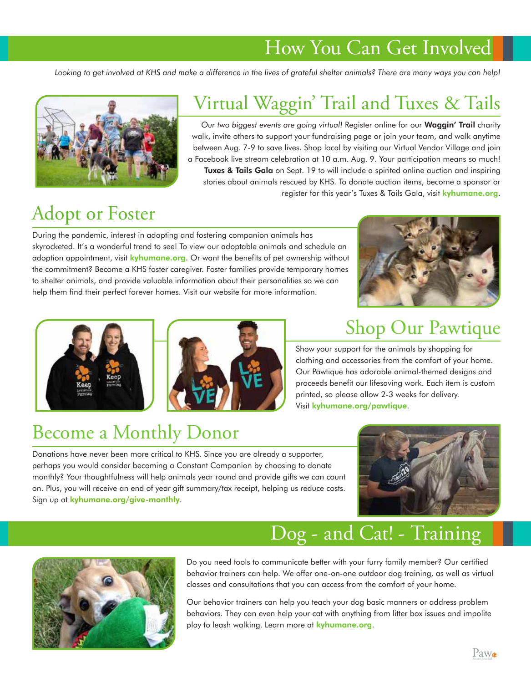#### How You Can Get Involved

*Looking to get involved at KHS and make a difference in the lives of grateful shelter animals? There are many ways you can help!* 



## Virtual Waggin' Trail and Tuxes & Tails

*Our two biggest events are going virtual!* Register online for our Waggin' Trail charity walk, invite others to support your fundraising page or join your team, and walk anytime between Aug. 7-9 to save lives. Shop local by visiting our Virtual Vendor Village and join a Facebook live stream celebration at 10 a.m. Aug. 9. Your participation means so much! Tuxes & Tails Gala on Sept. 19 to will include a spirited online auction and inspiring stories about animals rescued by KHS. To donate auction items, become a sponsor or register for this year's Tuxes & Tails Gala, visit kyhumane.org.

# Adopt or Foster

During the pandemic, interest in adopting and fostering companion animals has skyrocketed. It's a wonderful trend to see! To view our adoptable animals and schedule an adoption appointment, visit kyhumane.org. Or want the benefits of pet ownership without the commitment? Become a KHS foster caregiver. Foster families provide temporary homes to shelter animals, and provide valuable information about their personalities so we can help them find their perfect forever homes. Visit our website for more information.







#### Shop Our Pawtique

Show your support for the animals by shopping for clothing and accessories from the comfort of your home. Our Pawtique has adorable animal-themed designs and proceeds benefit our lifesaving work. Each item is custom printed, so please allow 2-3 weeks for delivery. Visit kyhumane.org/pawtique.

#### Become a Monthly Donor

Donations have never been more critical to KHS. Since you are already a supporter, perhaps you would consider becoming a Constant Companion by choosing to donate monthly? Your thoughtfulness will help animals year round and provide gifts we can count on. Plus, you will receive an end of year gift summary/tax receipt, helping us reduce costs. Sign up at kyhumane.org/give-monthly.



## Dog - and Cat! - Training



Do you need tools to communicate better with your furry family member? Our certified behavior trainers can help. We offer one-on-one outdoor dog training, as well as virtual classes and consultations that you can access from the comfort of your home.

Our behavior trainers can help you teach your dog basic manners or address problem behaviors. They can even help your cat with anything from litter box issues and impolite play to leash walking. Learn more at kyhumane.org.